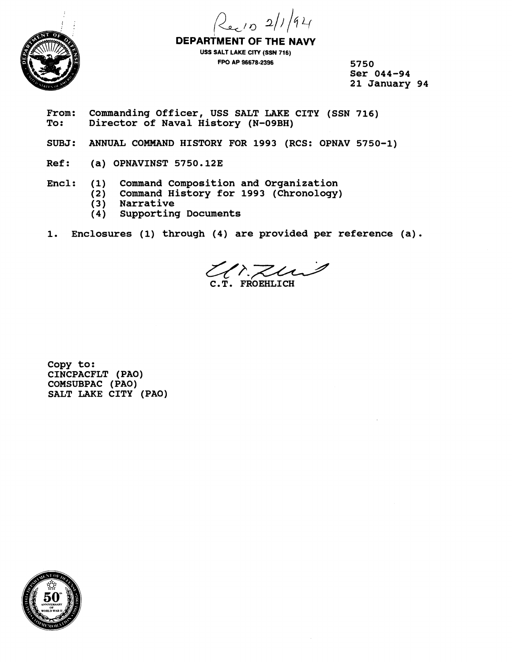



**DEPARTMENT OF THE NAW USS SALT LAKE CITY (SSN 716) FPO AP 96678-2B96 5750** 

**Ser 044-94 21 January 94** 

- From: Commanding Officer, USS SALT LAKE CITY (SSN 716)<br>To: Director of Naval History (N-09BH) **To: Director of Naval History (N-O9BH)**
- SUBJ: ANNUAL COMMAND HISTORY FOR 1993 (RCS: OPNAV 5750-1)
- **Ref: (a) OPNAVINST 5750** . **<sup>123</sup>**
- **Encl: (1) Command Composition and Organization** 
	- **(2) Command History for 1993 (Chronology)**
	- **(3) Narrative**
	- **(4) supporting Documents**
- **1. Enclosures (1) through (4) are provided per reference (a)** .

 $\left\langle \left\langle \right\rangle \right\rangle$  FROEHLICH

**Copy to: CINCPACFLT (PAO) COMSUBPAC (PAO) SALT LAKE CITY (PAO)** 

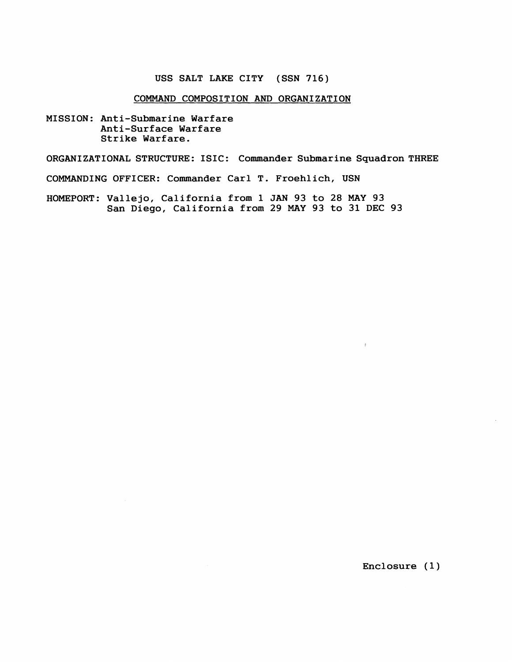## **USS SALT LAKE CITY (SSN 716)**

## **COMMAND COMPOSITION AND ORGANJZATION**

**MISSION: Anti-Submarine Warfare Anti-Surface Warfare Strike Warfare.** 

**ORGANIZATIONAL STRUCTURE: ISIC: Commander Submarine Squadron THREE** 

**COMMANDING OFFICER: Commander Carl T. Froehlich, USN** 

**HOMEPORT: Vallejo, California from 1 JAN 93 to 28 MAY 93 San Diego, California from 29 MAY 93 to 31 DEC 93** 

**Enclosure (1)** 

 $\sim g^{-1/2}$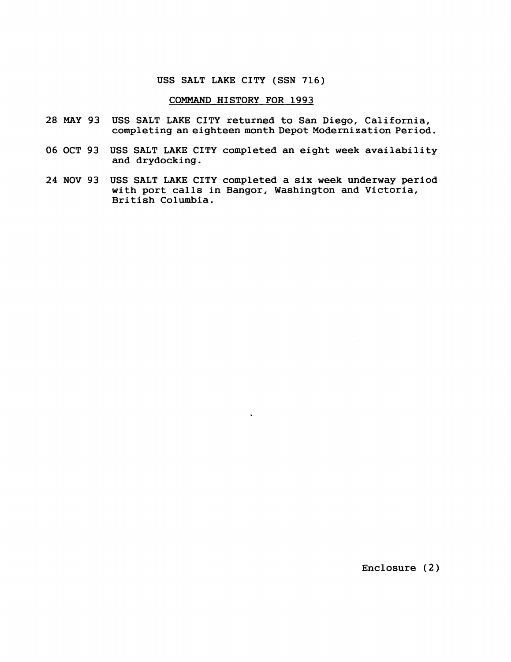#### USS SALT LAKE CITY (SSN 716)

#### COMMAND HISTORY FOR 1993

- 28 MAY 93 USS SALT LAKE CITY returned to San Diego, California, completing an eighteen month Depot Modernization Period.
- 06 OCT 93 USS SALT LAKE CITY completed an eight week availability and drydocking.
- 24 NOV 93 USS SALT LAKE CITY completed a six week underway period with port calls in Bangor, Washington and Victoria, British Columbia.

 $\ddot{\phantom{1}}$ 

Enclosure (2)